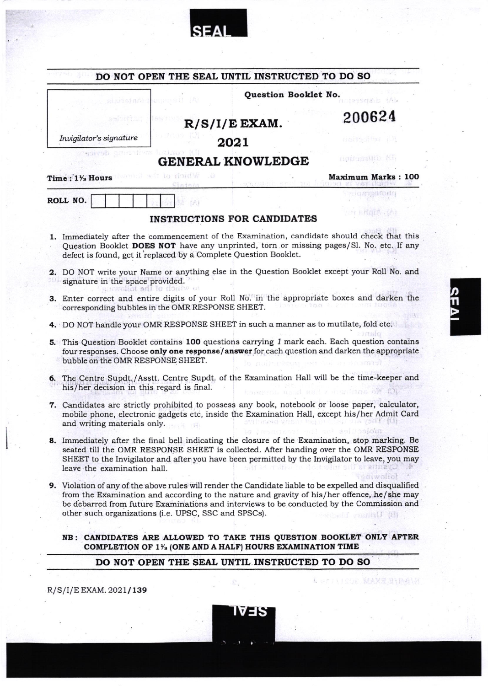|                                           |                                                                  | DO NOT OPEN THE SEAL UNTIL INSTRUCTED TO DO SO                                      |                                                                                                                                                                                                                                                                                                                                     |
|-------------------------------------------|------------------------------------------------------------------|-------------------------------------------------------------------------------------|-------------------------------------------------------------------------------------------------------------------------------------------------------------------------------------------------------------------------------------------------------------------------------------------------------------------------------------|
|                                           |                                                                  | Question Booklet No.                                                                |                                                                                                                                                                                                                                                                                                                                     |
|                                           |                                                                  | $R/S/I/E$ EXAM.                                                                     | 200624                                                                                                                                                                                                                                                                                                                              |
| Invigilator's signature                   |                                                                  | 2021                                                                                | Heils Ber                                                                                                                                                                                                                                                                                                                           |
| 938430                                    |                                                                  | <b>GENERAL KNOWLEDGE</b>                                                            | nou again (G                                                                                                                                                                                                                                                                                                                        |
| Time: 11/2 Hours                          | n'ord w                                                          |                                                                                     | <b>Maximum Marks: 100</b>                                                                                                                                                                                                                                                                                                           |
| ROLL NO.                                  |                                                                  |                                                                                     | JA ZAO TOKIO                                                                                                                                                                                                                                                                                                                        |
|                                           |                                                                  | <b>INSTRUCTIONS FOR CANDIDATES</b>                                                  |                                                                                                                                                                                                                                                                                                                                     |
|                                           | defect is found, get it replaced by a Complete Question Booklet. |                                                                                     | 1. Immediately after the commencement of the Examination, candidate should check that this<br>Question Booklet DOES NOT have any unprinted, torn or missing pages/Sl. No. etc. If any                                                                                                                                               |
| signature in the space provided.          | allot and to riomiw a                                            |                                                                                     | 2. DO NOT write your Name or anything else in the Question Booklet except your Roll No. and                                                                                                                                                                                                                                         |
|                                           | corresponding bubbles in the OMR RESPONSE SHEET.                 |                                                                                     | 3. Enter correct and entire digits of your Roll No. in the appropriate boxes and darken the                                                                                                                                                                                                                                         |
|                                           |                                                                  |                                                                                     | 4. DO NOT handle your OMR RESPONSE SHEET in such a manner as to mutilate, fold etc.                                                                                                                                                                                                                                                 |
| bubble on the OMR RESPONSE SHEET.         |                                                                  |                                                                                     | 5. This Question Booklet contains 100 questions carrying 1 mark each. Each question contains<br>four responses. Choose only one response/answer for each question and darken the appropriate                                                                                                                                        |
| his/her decision in this regard is final. |                                                                  |                                                                                     | 6. The Centre Supdt./Asstt. Centre Supdt. of the Examination Hall will be the time-keeper and<br>10.5 月月1日 名前 1 川川川川田田田 和野 麻木                                                                                                                                                                                                       |
| and writing materials only.               |                                                                  |                                                                                     | 7. Candidates are strictly prohibited to possess any book, notebook or loose paper, calculator,<br>mobile phone, electronic gadgets etc, inside the Examination Hall, except his/her Admit Card<br>penut med tot animosiona                                                                                                         |
| leave the examination hall.               |                                                                  |                                                                                     | 8. Immediately after the final bell indicating the closure of the Examination, stop marking. Be<br>seated till the OMR RESPONSE SHEET is collected. After handing over the OMR RESPONSE<br>SHEET to the Invigilator and after you have been permitted by the Invigilator to leave, you may                                          |
|                                           | other such organizations (i.e. UPSC, SSC and SPSCs).             |                                                                                     | nwalint<br>9. Violation of any of the above rules will render the Candidate liable to be expelled and disqualified<br>from the Examination and according to the nature and gravity of his/her offence, he/she may<br>be debarred from future Examinations and interviews to be conducted by the Commission and<br>Forbeld ynnin (H) |
|                                           |                                                                  | COMPLETION OF 1 <sup>1</sup> / <sub>2</sub> (ONE AND A HALF) HOURS EXAMINATION TIME | NB: CANDIDATES ARE ALLOWED TO TAKE THIS QUESTION BOOKLET ONLY AFTER                                                                                                                                                                                                                                                                 |
|                                           |                                                                  | DO NOT OPEN THE SEAL UNTIL INSTRUCTED TO DO SO                                      |                                                                                                                                                                                                                                                                                                                                     |

**SEAL** 

Ŋ

 $\mathbf{I}$ 

**KEA**